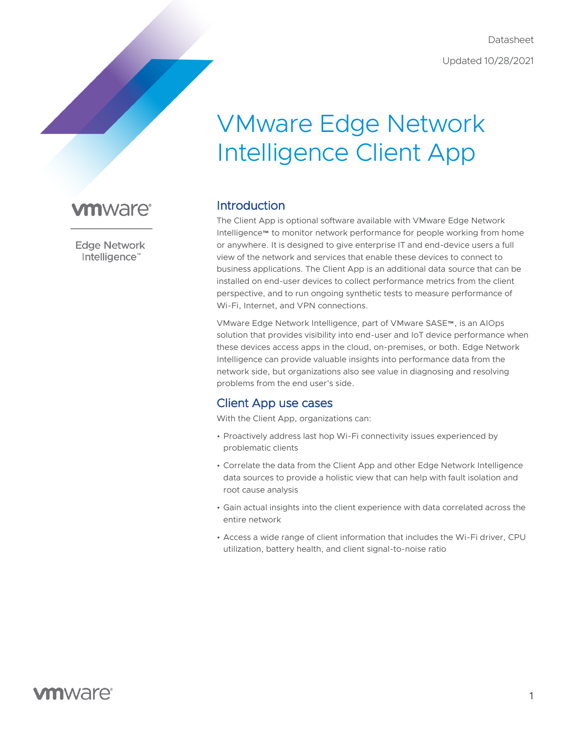Datasheet Updated 10/28/2021

# VMware Edge Network Intelligence Client App

# **vm**ware<sup>®</sup>

**Edge Network** Intelligence™

# Introduction

The Client App is optional software available with VMware Edge Network Intelligence™ to monitor network performance for people working from home or anywhere. It is designed to give enterprise IT and end-device users a full view of the network and services that enable these devices to connect to business applications. The Client App is an additional data source that can be installed on end-user devices to collect performance metrics from the client perspective, and to run ongoing synthetic tests to measure performance of Wi-Fi, Internet, and VPN connections.

VMware Edge Network Intelligence, part of VMware SASE™, is an AIOps solution that provides visibility into end-user and IoT device performance when these devices access apps in the cloud, on-premises, or both. Edge Network Intelligence can provide valuable insights into performance data from the network side, but organizations also see value in diagnosing and resolving problems from the end user's side.

## Client App use cases

With the Client App, organizations can:

- Proactively address last hop Wi-Fi connectivity issues experienced by problematic clients
- Correlate the data from the Client App and other Edge Network Intelligence data sources to provide a holistic view that can help with fault isolation and root cause analysis
- Gain actual insights into the client experience with data correlated across the entire network
- Access a wide range of client information that includes the Wi-Fi driver, CPU utilization, battery health, and client signal-to-noise ratio

# **vm**ware<sup>®</sup>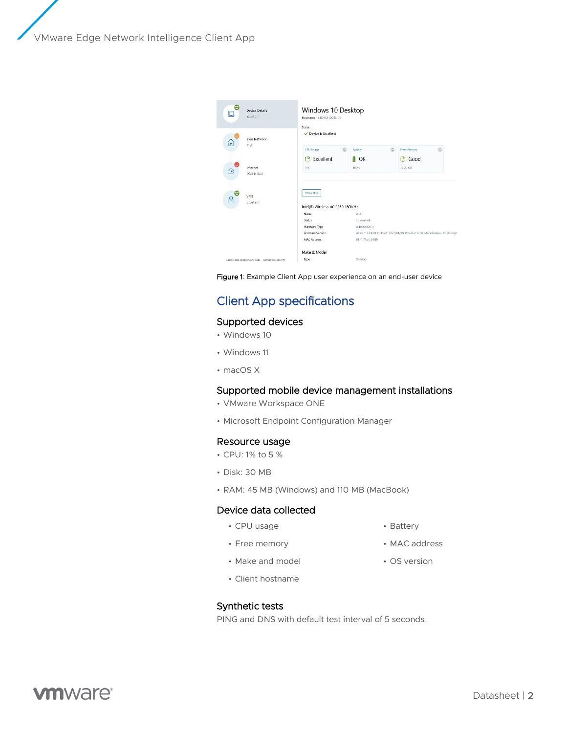VMware Edge Network Intelligence Client App



Figure 1: Example Client App user experience on an end-user device

# Client App specifications

#### Supported devices

- Windows 10
- Windows 11
- macOS X

#### Supported mobile device management installations

- VMware Workspace ONE
- Microsoft Endpoint Configuration Manager

#### Resource usage

- CPU: 1% to 5 %
- Disk: 30 MB
- RAM: 45 MB (Windows) and 110 MB (MacBook)

#### Device data collected

• CPU usage

- Battery
- 
- OS version

• MAC address

• Make and model

• Free memory

• Client hostname

### Synthetic tests

PING and DNS with default test interval of 5 seconds.

**vm**ware<sup>®</sup>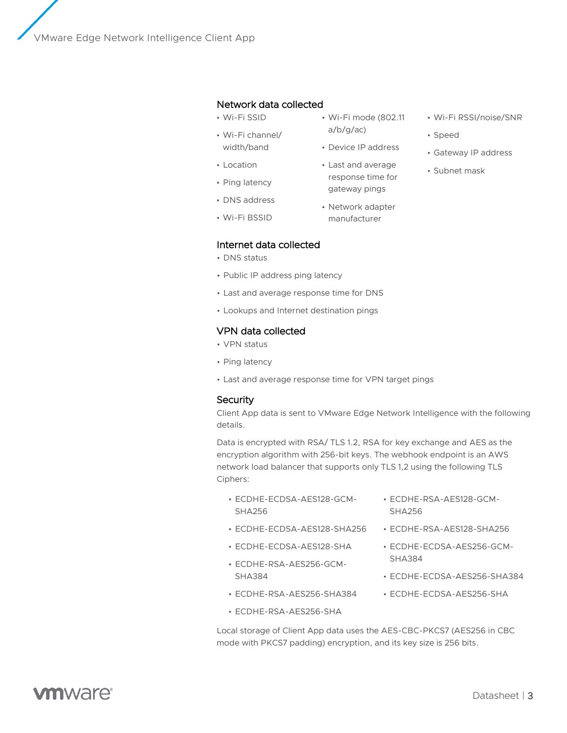VMware Edge Network Intelligence Client App

#### Network data collected

- Wi-Fi SSID
- Wi-Fi channel/ width/band
- Location
- Ping latency
- DNS address
- Wi-Fi BSSID

#### Internet data collected

- DNS status
- Public IP address ping latency
- Last and average response time for DNS
- Lookups and Internet destination pings

#### VPN data collected

- VPN status
- Ping latency
- Last and average response time for VPN target pings

#### **Security**

Client App data is sent to VMware Edge Network Intelligence with the following details.

Data is encrypted with RSA/ TLS 1.2, RSA for key exchange and AES as the encryption algorithm with 256-bit keys. The webhook endpoint is an AWS network load balancer that supports only TLS 1,2 using the following TLS Ciphers:

• Wi-Fi mode (802.11

• Device IP address • Last and average response time for gateway pings • Network adapter manufacturer

a/b/g/ac)

- ECDHE-ECDSA-AES128-GCM-SHA256
- ECDHE-ECDSA-AES128-SHA256
- ECDHE-ECDSA-AES128-SHA
- ECDHE-RSA-AES256-GCM-SHA384
- ECDHE-RSA-AES256-SHA384
- ECDHE-RSA-AES256-SHA
- ECDHE-RSA-AES128-GCM-SHA256
	- ECDHE-RSA-AES128-SHA256
	- ECDHE-ECDSA-AES256-GCM-SHA384
	- ECDHE-ECDSA-AES256-SHA384
	- ECDHE-ECDSA-AES256-SHA

Local storage of Client App data uses the AES-CBC-PKCS7 (AES256 in CBC mode with PKCS7 padding) encryption, and its key size is 256 bits.

- Wi-Fi RSSI/noise/SNR
- Speed
- Gateway IP address
- Subnet mask

**vm**ware<sup>®</sup>